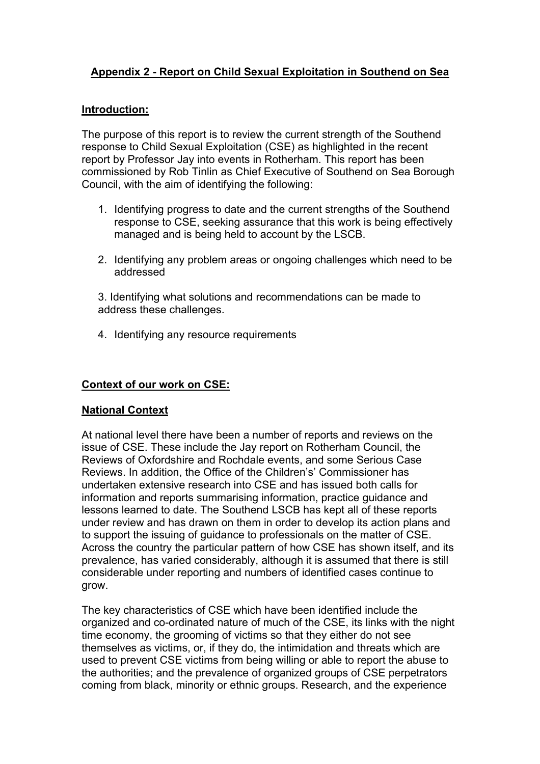## **Appendix 2 - Report on Child Sexual Exploitation in Southend on Sea**

### **Introduction:**

The purpose of this report is to review the current strength of the Southend response to Child Sexual Exploitation (CSE) as highlighted in the recent report by Professor Jay into events in Rotherham. This report has been commissioned by Rob Tinlin as Chief Executive of Southend on Sea Borough Council, with the aim of identifying the following:

- 1. Identifying progress to date and the current strengths of the Southend response to CSE, seeking assurance that this work is being effectively managed and is being held to account by the LSCB.
- 2. Identifying any problem areas or ongoing challenges which need to be addressed

3. Identifying what solutions and recommendations can be made to address these challenges.

4. Identifying any resource requirements

## **Context of our work on CSE:**

### **National Context**

At national level there have been a number of reports and reviews on the issue of CSE. These include the Jay report on Rotherham Council, the Reviews of Oxfordshire and Rochdale events, and some Serious Case Reviews. In addition, the Office of the Children's' Commissioner has undertaken extensive research into CSE and has issued both calls for information and reports summarising information, practice guidance and lessons learned to date. The Southend LSCB has kept all of these reports under review and has drawn on them in order to develop its action plans and to support the issuing of guidance to professionals on the matter of CSE. Across the country the particular pattern of how CSE has shown itself, and its prevalence, has varied considerably, although it is assumed that there is still considerable under reporting and numbers of identified cases continue to grow.

The key characteristics of CSE which have been identified include the organized and co-ordinated nature of much of the CSE, its links with the night time economy, the grooming of victims so that they either do not see themselves as victims, or, if they do, the intimidation and threats which are used to prevent CSE victims from being willing or able to report the abuse to the authorities; and the prevalence of organized groups of CSE perpetrators coming from black, minority or ethnic groups. Research, and the experience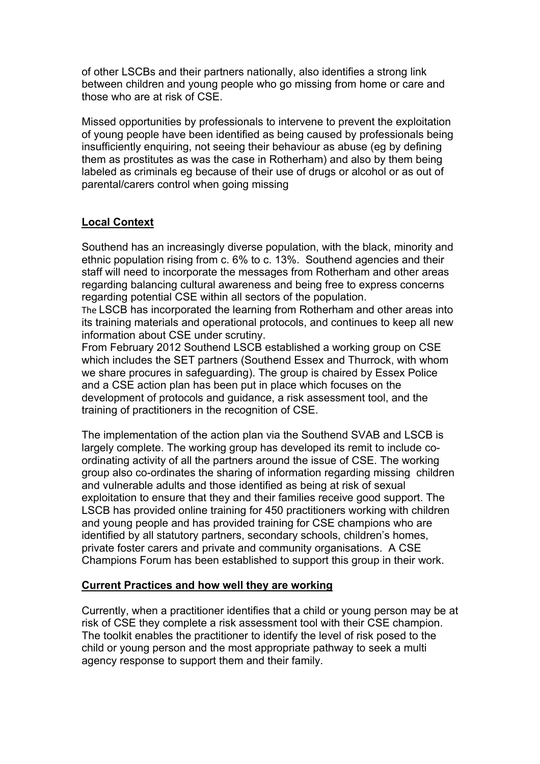of other LSCBs and their partners nationally, also identifies a strong link between children and young people who go missing from home or care and those who are at risk of CSE.

Missed opportunities by professionals to intervene to prevent the exploitation of young people have been identified as being caused by professionals being insufficiently enquiring, not seeing their behaviour as abuse (eg by defining them as prostitutes as was the case in Rotherham) and also by them being labeled as criminals eg because of their use of drugs or alcohol or as out of parental/carers control when going missing

## **Local Context**

Southend has an increasingly diverse population, with the black, minority and ethnic population rising from c. 6% to c. 13%. Southend agencies and their staff will need to incorporate the messages from Rotherham and other areas regarding balancing cultural awareness and being free to express concerns regarding potential CSE within all sectors of the population.

The LSCB has incorporated the learning from Rotherham and other areas into its training materials and operational protocols, and continues to keep all new information about CSE under scrutiny.

From February 2012 Southend LSCB established a working group on CSE which includes the SET partners (Southend Essex and Thurrock, with whom we share procures in safeguarding). The group is chaired by Essex Police and a CSE action plan has been put in place which focuses on the development of protocols and guidance, a risk assessment tool, and the training of practitioners in the recognition of CSE.

The implementation of the action plan via the Southend SVAB and LSCB is largely complete. The working group has developed its remit to include coordinating activity of all the partners around the issue of CSE. The working group also co-ordinates the sharing of information regarding missing children and vulnerable adults and those identified as being at risk of sexual exploitation to ensure that they and their families receive good support. The LSCB has provided online training for 450 practitioners working with children and young people and has provided training for CSE champions who are identified by all statutory partners, secondary schools, children's homes, private foster carers and private and community organisations. A CSE Champions Forum has been established to support this group in their work.

### **Current Practices and how well they are working**

Currently, when a practitioner identifies that a child or young person may be at risk of CSE they complete a risk assessment tool with their CSE champion. The toolkit enables the practitioner to identify the level of risk posed to the child or young person and the most appropriate pathway to seek a multi agency response to support them and their family.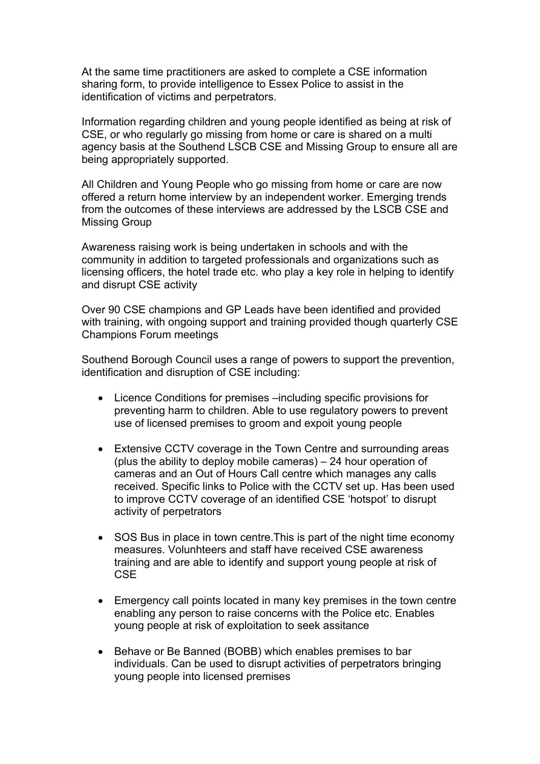At the same time practitioners are asked to complete a CSE information sharing form, to provide intelligence to Essex Police to assist in the identification of victims and perpetrators.

Information regarding children and young people identified as being at risk of CSE, or who regularly go missing from home or care is shared on a multi agency basis at the Southend LSCB CSE and Missing Group to ensure all are being appropriately supported.

All Children and Young People who go missing from home or care are now offered a return home interview by an independent worker. Emerging trends from the outcomes of these interviews are addressed by the LSCB CSE and Missing Group

Awareness raising work is being undertaken in schools and with the community in addition to targeted professionals and organizations such as licensing officers, the hotel trade etc. who play a key role in helping to identify and disrupt CSE activity

Over 90 CSE champions and GP Leads have been identified and provided with training, with ongoing support and training provided though quarterly CSE Champions Forum meetings

Southend Borough Council uses a range of powers to support the prevention, identification and disruption of CSE including:

- Licence Conditions for premises –including specific provisions for preventing harm to children. Able to use regulatory powers to prevent use of licensed premises to groom and expoit young people
- Extensive CCTV coverage in the Town Centre and surrounding areas (plus the ability to deploy mobile cameras) – 24 hour operation of cameras and an Out of Hours Call centre which manages any calls received. Specific links to Police with the CCTV set up. Has been used to improve CCTV coverage of an identified CSE 'hotspot' to disrupt activity of perpetrators
- SOS Bus in place in town centre.This is part of the night time economy measures. Volunhteers and staff have received CSE awareness training and are able to identify and support young people at risk of **CSE**
- Emergency call points located in many key premises in the town centre enabling any person to raise concerns with the Police etc. Enables young people at risk of exploitation to seek assitance
- Behave or Be Banned (BOBB) which enables premises to bar individuals. Can be used to disrupt activities of perpetrators bringing young people into licensed premises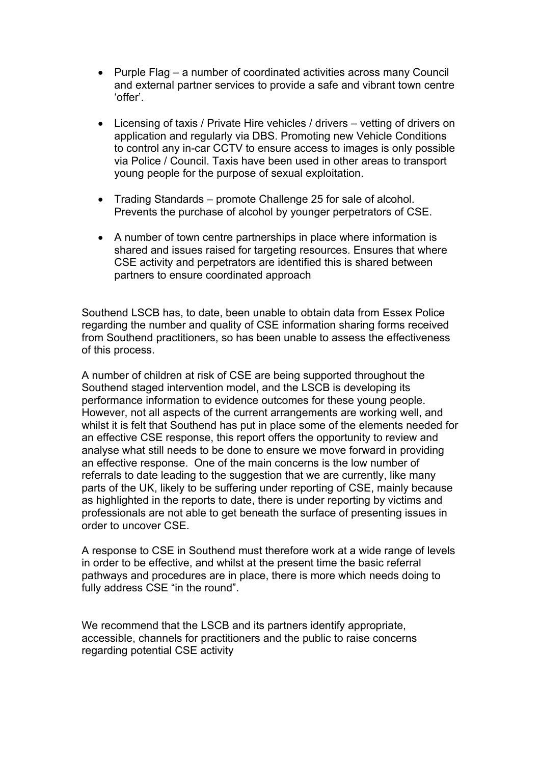- Purple Flag a number of coordinated activities across many Council and external partner services to provide a safe and vibrant town centre 'offer'.
- Licensing of taxis / Private Hire vehicles / drivers vetting of drivers on application and regularly via DBS. Promoting new Vehicle Conditions to control any in-car CCTV to ensure access to images is only possible via Police / Council. Taxis have been used in other areas to transport young people for the purpose of sexual exploitation.
- Trading Standards promote Challenge 25 for sale of alcohol. Prevents the purchase of alcohol by younger perpetrators of CSE.
- A number of town centre partnerships in place where information is shared and issues raised for targeting resources. Ensures that where CSE activity and perpetrators are identified this is shared between partners to ensure coordinated approach

Southend LSCB has, to date, been unable to obtain data from Essex Police regarding the number and quality of CSE information sharing forms received from Southend practitioners, so has been unable to assess the effectiveness of this process.

A number of children at risk of CSE are being supported throughout the Southend staged intervention model, and the LSCB is developing its performance information to evidence outcomes for these young people. However, not all aspects of the current arrangements are working well, and whilst it is felt that Southend has put in place some of the elements needed for an effective CSE response, this report offers the opportunity to review and analyse what still needs to be done to ensure we move forward in providing an effective response. One of the main concerns is the low number of referrals to date leading to the suggestion that we are currently, like many parts of the UK, likely to be suffering under reporting of CSE, mainly because as highlighted in the reports to date, there is under reporting by victims and professionals are not able to get beneath the surface of presenting issues in order to uncover CSE.

A response to CSE in Southend must therefore work at a wide range of levels in order to be effective, and whilst at the present time the basic referral pathways and procedures are in place, there is more which needs doing to fully address CSE "in the round".

We recommend that the LSCB and its partners identify appropriate, accessible, channels for practitioners and the public to raise concerns regarding potential CSE activity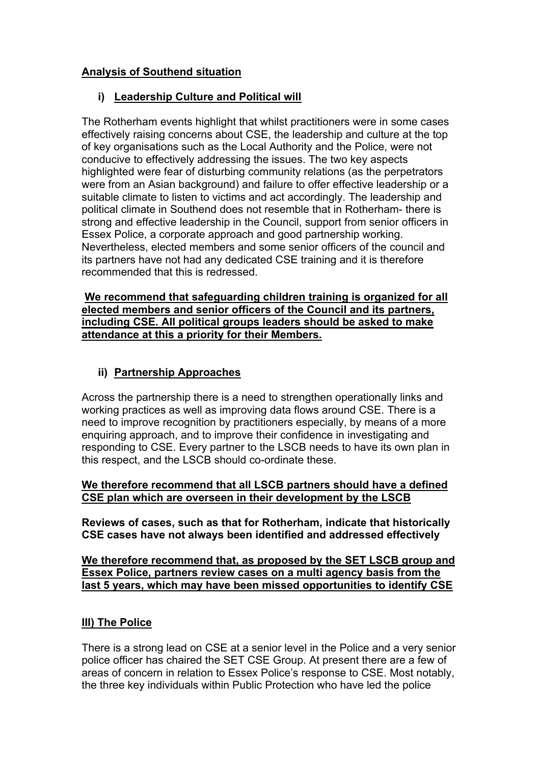## **Analysis of Southend situation**

## **i) Leadership Culture and Political will**

The Rotherham events highlight that whilst practitioners were in some cases effectively raising concerns about CSE, the leadership and culture at the top of key organisations such as the Local Authority and the Police, were not conducive to effectively addressing the issues. The two key aspects highlighted were fear of disturbing community relations (as the perpetrators were from an Asian background) and failure to offer effective leadership or a suitable climate to listen to victims and act accordingly. The leadership and political climate in Southend does not resemble that in Rotherham- there is strong and effective leadership in the Council, support from senior officers in Essex Police, a corporate approach and good partnership working. Nevertheless, elected members and some senior officers of the council and its partners have not had any dedicated CSE training and it is therefore recommended that this is redressed.

**We recommend that safeguarding children training is organized for all elected members and senior officers of the Council and its partners, including CSE. All political groups leaders should be asked to make attendance at this a priority for their Members.**

## **ii) Partnership Approaches**

Across the partnership there is a need to strengthen operationally links and working practices as well as improving data flows around CSE. There is a need to improve recognition by practitioners especially, by means of a more enquiring approach, and to improve their confidence in investigating and responding to CSE. Every partner to the LSCB needs to have its own plan in this respect, and the LSCB should co-ordinate these.

## **We therefore recommend that all LSCB partners should have a defined CSE plan which are overseen in their development by the LSCB**

**Reviews of cases, such as that for Rotherham, indicate that historically CSE cases have not always been identified and addressed effectively**

**We therefore recommend that, as proposed by the SET LSCB group and Essex Police, partners review cases on a multi agency basis from the last 5 years, which may have been missed opportunities to identify CSE**

## **III) The Police**

There is a strong lead on CSE at a senior level in the Police and a very senior police officer has chaired the SET CSE Group. At present there are a few of areas of concern in relation to Essex Police's response to CSE. Most notably, the three key individuals within Public Protection who have led the police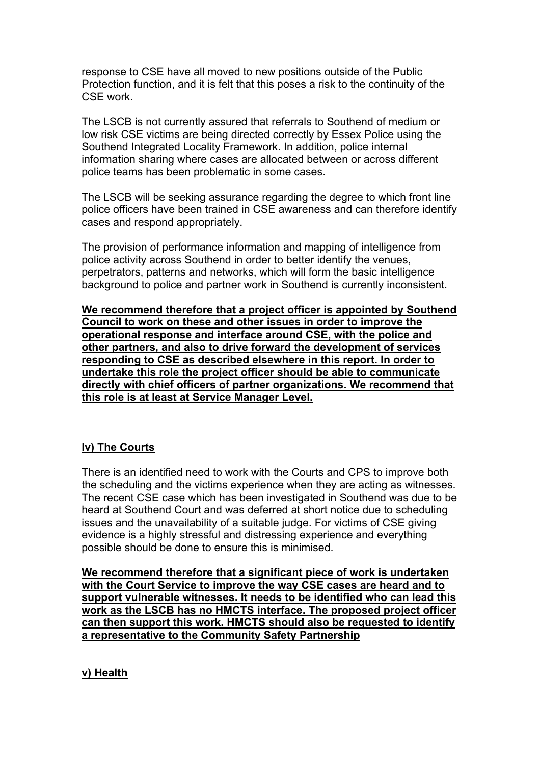response to CSE have all moved to new positions outside of the Public Protection function, and it is felt that this poses a risk to the continuity of the CSE work.

The LSCB is not currently assured that referrals to Southend of medium or low risk CSE victims are being directed correctly by Essex Police using the Southend Integrated Locality Framework. In addition, police internal information sharing where cases are allocated between or across different police teams has been problematic in some cases.

The LSCB will be seeking assurance regarding the degree to which front line police officers have been trained in CSE awareness and can therefore identify cases and respond appropriately.

The provision of performance information and mapping of intelligence from police activity across Southend in order to better identify the venues, perpetrators, patterns and networks, which will form the basic intelligence background to police and partner work in Southend is currently inconsistent.

**We recommend therefore that a project officer is appointed by Southend Council to work on these and other issues in order to improve the operational response and interface around CSE, with the police and other partners, and also to drive forward the development of services responding to CSE as described elsewhere in this report. In order to undertake this role the project officer should be able to communicate directly with chief officers of partner organizations. We recommend that this role is at least at Service Manager Level.**

### **Iv) The Courts**

There is an identified need to work with the Courts and CPS to improve both the scheduling and the victims experience when they are acting as witnesses. The recent CSE case which has been investigated in Southend was due to be heard at Southend Court and was deferred at short notice due to scheduling issues and the unavailability of a suitable judge. For victims of CSE giving evidence is a highly stressful and distressing experience and everything possible should be done to ensure this is minimised.

**We recommend therefore that a significant piece of work is undertaken with the Court Service to improve the way CSE cases are heard and to support vulnerable witnesses. It needs to be identified who can lead this work as the LSCB has no HMCTS interface. The proposed project officer can then support this work. HMCTS should also be requested to identify a representative to the Community Safety Partnership**

### **v) Health**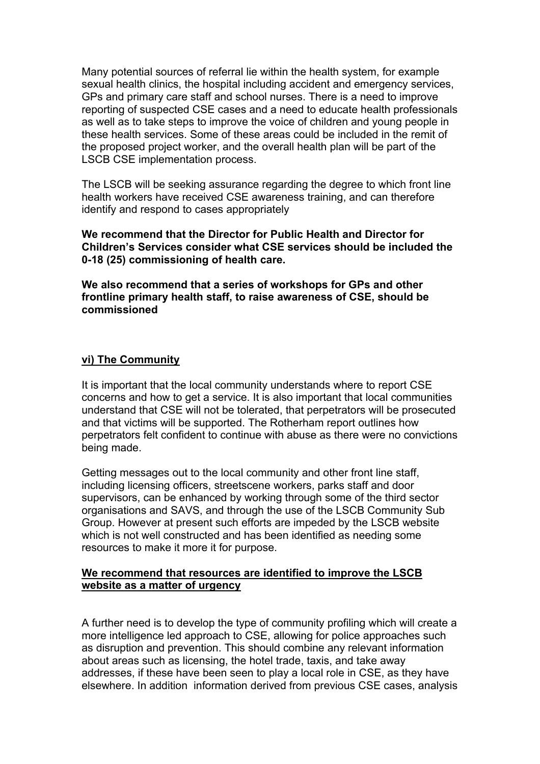Many potential sources of referral lie within the health system, for example sexual health clinics, the hospital including accident and emergency services, GPs and primary care staff and school nurses. There is a need to improve reporting of suspected CSE cases and a need to educate health professionals as well as to take steps to improve the voice of children and young people in these health services. Some of these areas could be included in the remit of the proposed project worker, and the overall health plan will be part of the LSCB CSE implementation process.

The LSCB will be seeking assurance regarding the degree to which front line health workers have received CSE awareness training, and can therefore identify and respond to cases appropriately

**We recommend that the Director for Public Health and Director for Children's Services consider what CSE services should be included the 0-18 (25) commissioning of health care.**

**We also recommend that a series of workshops for GPs and other frontline primary health staff, to raise awareness of CSE, should be commissioned**

#### **vi) The Community**

It is important that the local community understands where to report CSE concerns and how to get a service. It is also important that local communities understand that CSE will not be tolerated, that perpetrators will be prosecuted and that victims will be supported. The Rotherham report outlines how perpetrators felt confident to continue with abuse as there were no convictions being made.

Getting messages out to the local community and other front line staff, including licensing officers, streetscene workers, parks staff and door supervisors, can be enhanced by working through some of the third sector organisations and SAVS, and through the use of the LSCB Community Sub Group. However at present such efforts are impeded by the LSCB website which is not well constructed and has been identified as needing some resources to make it more it for purpose.

#### **We recommend that resources are identified to improve the LSCB website as a matter of urgency**

A further need is to develop the type of community profiling which will create a more intelligence led approach to CSE, allowing for police approaches such as disruption and prevention. This should combine any relevant information about areas such as licensing, the hotel trade, taxis, and take away addresses, if these have been seen to play a local role in CSE, as they have elsewhere. In addition information derived from previous CSE cases, analysis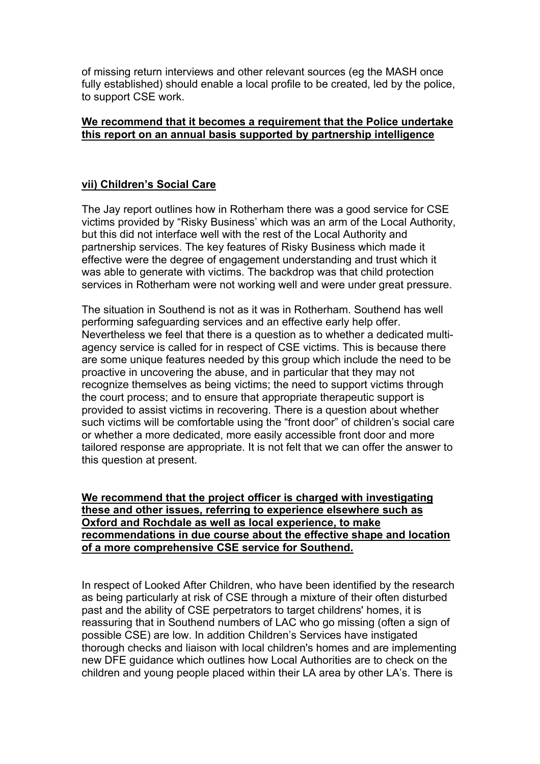of missing return interviews and other relevant sources (eg the MASH once fully established) should enable a local profile to be created, led by the police, to support CSE work.

### **We recommend that it becomes a requirement that the Police undertake this report on an annual basis supported by partnership intelligence**

## **vii) Children's Social Care**

The Jay report outlines how in Rotherham there was a good service for CSE victims provided by "Risky Business' which was an arm of the Local Authority, but this did not interface well with the rest of the Local Authority and partnership services. The key features of Risky Business which made it effective were the degree of engagement understanding and trust which it was able to generate with victims. The backdrop was that child protection services in Rotherham were not working well and were under great pressure.

The situation in Southend is not as it was in Rotherham. Southend has well performing safeguarding services and an effective early help offer. Nevertheless we feel that there is a question as to whether a dedicated multiagency service is called for in respect of CSE victims. This is because there are some unique features needed by this group which include the need to be proactive in uncovering the abuse, and in particular that they may not recognize themselves as being victims; the need to support victims through the court process; and to ensure that appropriate therapeutic support is provided to assist victims in recovering. There is a question about whether such victims will be comfortable using the "front door" of children's social care or whether a more dedicated, more easily accessible front door and more tailored response are appropriate. It is not felt that we can offer the answer to this question at present.

**We recommend that the project officer is charged with investigating these and other issues, referring to experience elsewhere such as Oxford and Rochdale as well as local experience, to make recommendations in due course about the effective shape and location of a more comprehensive CSE service for Southend.**

In respect of Looked After Children, who have been identified by the research as being particularly at risk of CSE through a mixture of their often disturbed past and the ability of CSE perpetrators to target childrens' homes, it is reassuring that in Southend numbers of LAC who go missing (often a sign of possible CSE) are low. In addition Children's Services have instigated thorough checks and liaison with local children's homes and are implementing new DFE guidance which outlines how Local Authorities are to check on the children and young people placed within their LA area by other LA's. There is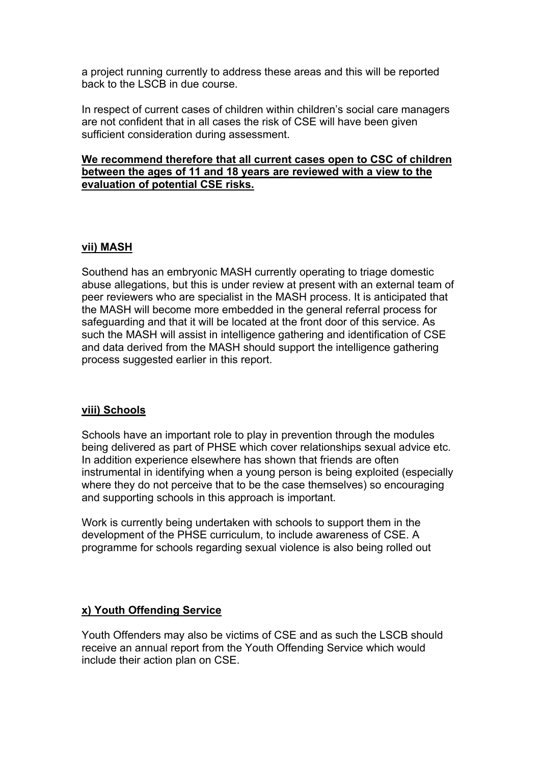a project running currently to address these areas and this will be reported back to the LSCB in due course.

In respect of current cases of children within children's social care managers are not confident that in all cases the risk of CSE will have been given sufficient consideration during assessment.

### **We recommend therefore that all current cases open to CSC of children between the ages of 11 and 18 years are reviewed with a view to the evaluation of potential CSE risks.**

#### **vii) MASH**

Southend has an embryonic MASH currently operating to triage domestic abuse allegations, but this is under review at present with an external team of peer reviewers who are specialist in the MASH process. It is anticipated that the MASH will become more embedded in the general referral process for safeguarding and that it will be located at the front door of this service. As such the MASH will assist in intelligence gathering and identification of CSE and data derived from the MASH should support the intelligence gathering process suggested earlier in this report.

#### **viii) Schools**

Schools have an important role to play in prevention through the modules being delivered as part of PHSE which cover relationships sexual advice etc. In addition experience elsewhere has shown that friends are often instrumental in identifying when a young person is being exploited (especially where they do not perceive that to be the case themselves) so encouraging and supporting schools in this approach is important.

Work is currently being undertaken with schools to support them in the development of the PHSE curriculum, to include awareness of CSE. A programme for schools regarding sexual violence is also being rolled out

### **x) Youth Offending Service**

Youth Offenders may also be victims of CSE and as such the LSCB should receive an annual report from the Youth Offending Service which would include their action plan on CSE.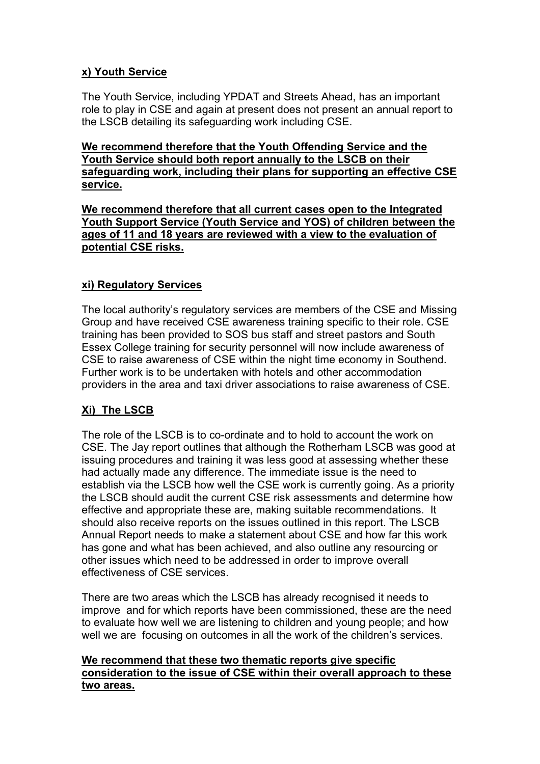## **x) Youth Service**

The Youth Service, including YPDAT and Streets Ahead, has an important role to play in CSE and again at present does not present an annual report to the LSCB detailing its safeguarding work including CSE.

**We recommend therefore that the Youth Offending Service and the Youth Service should both report annually to the LSCB on their safeguarding work, including their plans for supporting an effective CSE service.**

**We recommend therefore that all current cases open to the Integrated Youth Support Service (Youth Service and YOS) of children between the ages of 11 and 18 years are reviewed with a view to the evaluation of potential CSE risks.**

## **xi) Regulatory Services**

The local authority's regulatory services are members of the CSE and Missing Group and have received CSE awareness training specific to their role. CSE training has been provided to SOS bus staff and street pastors and South Essex College training for security personnel will now include awareness of CSE to raise awareness of CSE within the night time economy in Southend. Further work is to be undertaken with hotels and other accommodation providers in the area and taxi driver associations to raise awareness of CSE.

# **Xi) The LSCB**

The role of the LSCB is to co-ordinate and to hold to account the work on CSE. The Jay report outlines that although the Rotherham LSCB was good at issuing procedures and training it was less good at assessing whether these had actually made any difference. The immediate issue is the need to establish via the LSCB how well the CSE work is currently going. As a priority the LSCB should audit the current CSE risk assessments and determine how effective and appropriate these are, making suitable recommendations. It should also receive reports on the issues outlined in this report. The LSCB Annual Report needs to make a statement about CSE and how far this work has gone and what has been achieved, and also outline any resourcing or other issues which need to be addressed in order to improve overall effectiveness of CSE services.

There are two areas which the LSCB has already recognised it needs to improve and for which reports have been commissioned, these are the need to evaluate how well we are listening to children and young people; and how well we are focusing on outcomes in all the work of the children's services.

## **We recommend that these two thematic reports give specific consideration to the issue of CSE within their overall approach to these two areas.**